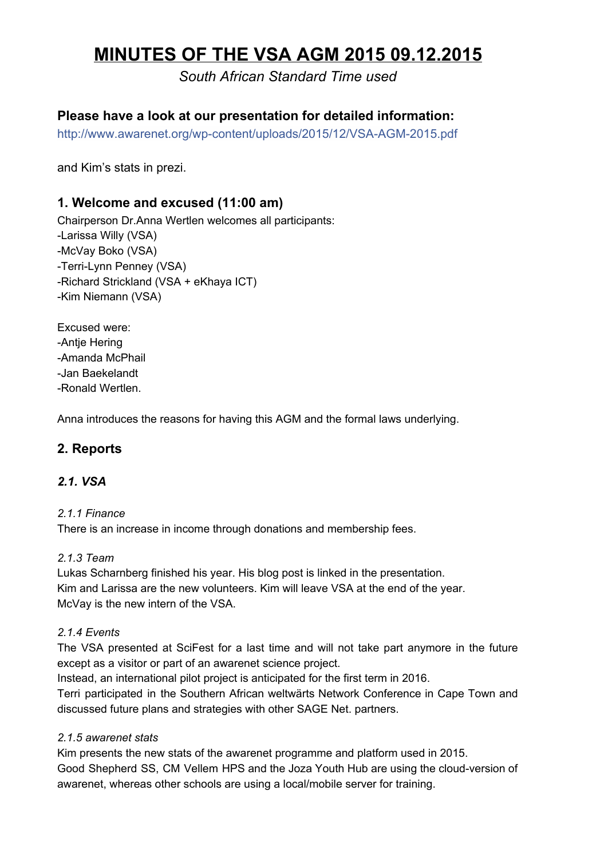# **MINUTES OF THE VSA AGM 2015 09.12.2015**

# *South African Standard Time used*

# **Please have a look at our presentation for detailed information:**

http://www.awarenet.org/wp-content/uploads/2015/12/VSA-AGM-2015.pdf

and Kim's stats in prezi.

## **1. Welcome and excused (11:00 am)**

Chairperson Dr.Anna Wertlen welcomes all participants: Larissa Willy (VSA) McVay Boko (VSA) -Terri-Lynn Penney (VSA) Richard Strickland (VSA + eKhaya ICT) -Kim Niemann (VSA)

Excused were: Antje Hering Amanda McPhail Jan Baekelandt Ronald Wertlen.

Anna introduces the reasons for having this AGM and the formal laws underlying.

## **2. Reports**

#### *2.1. VSA*

#### *2.1.1 Finance*

There is an increase in income through donations and membership fees.

#### *2.1.3 Team*

Lukas Scharnberg finished his year. His blog post is linked in the presentation. Kim and Larissa are the new volunteers. Kim will leave VSA at the end of the year. McVay is the new intern of the VSA.

#### *2.1.4 Events*

The VSA presented at SciFest for a last time and will not take part anymore in the future except as a visitor or part of an awarenet science project.

Instead, an international pilot project is anticipated for the first term in 2016.

Terri participated in the Southern African weltwärts Network Conference in Cape Town and discussed future plans and strategies with other SAGE Net. partners.

#### *2.1.5 awarenet stats*

Kim presents the new stats of the awarenet programme and platform used in 2015. Good Shepherd SS, CM Vellem HPS and the Joza Youth Hub are using the cloud-version of awarenet, whereas other schools are using a local/mobile server for training.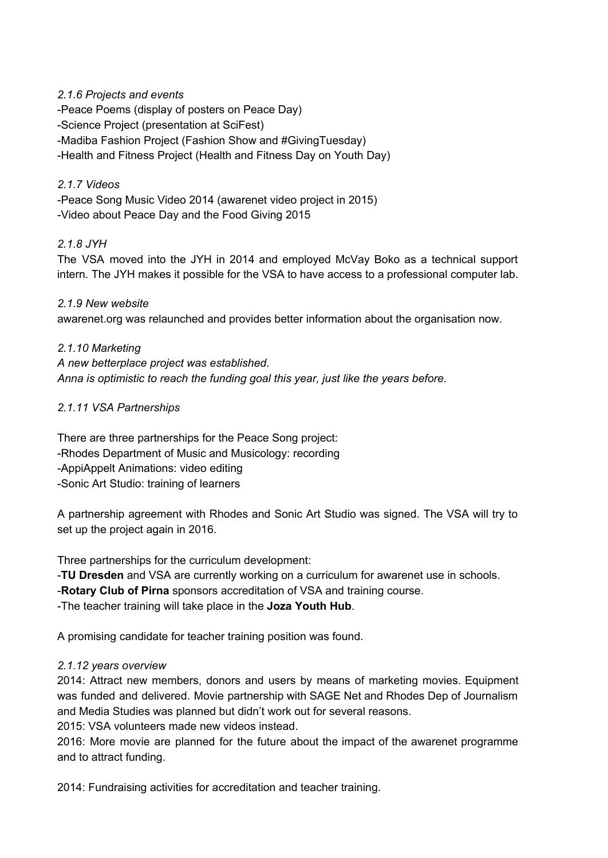#### *2.1.6 Projects and events*

Peace Poems (display of posters on Peace Day) Science Project (presentation at SciFest) Madiba Fashion Project (Fashion Show and #GivingTuesday) Health and Fitness Project (Health and Fitness Day on Youth Day)

#### *2.1.7 Videos*

Peace Song Music Video 2014 (awarenet video project in 2015) Video about Peace Day and the Food Giving 2015

#### *2.1.8 JYH*

The VSA moved into the JYH in 2014 and employed McVay Boko as a technical support intern. The JYH makes it possible for the VSA to have access to a professional computer lab.

*2.1.9 New website* awarenet.org was relaunched and provides better information about the organisation now.

*2.1.10 Marketing A new betterplace project was established. Anna is optimistic to reach the funding goal this year, just like the years before.*

#### *2.1.11 VSA Partnerships*

There are three partnerships for the Peace Song project: Rhodes Department of Music and Musicology: recording AppiAppelt Animations: video editing Sonic Art Studio: training of learners

A partnership agreement with Rhodes and Sonic Art Studio was signed. The VSA will try to set up the project again in 2016.

Three partnerships for the curriculum development:

**TU Dresden**and VSA are currently working on a curriculum for awarenet use in schools.

**Rotary Club of Pirna**sponsors accreditation of VSA and training course.

The teacher training will take place in the **Joza Youth Hub**.

A promising candidate for teacher training position was found.

## *2.1.12 years overview*

2014: Attract new members, donors and users by means of marketing movies. Equipment was funded and delivered. Movie partnership with SAGE Net and Rhodes Dep of Journalism and Media Studies was planned but didn't work out for several reasons.

2015: VSA volunteers made new videos instead.

2016: More movie are planned for the future about the impact of the awarenet programme and to attract funding.

2014: Fundraising activities for accreditation and teacher training.